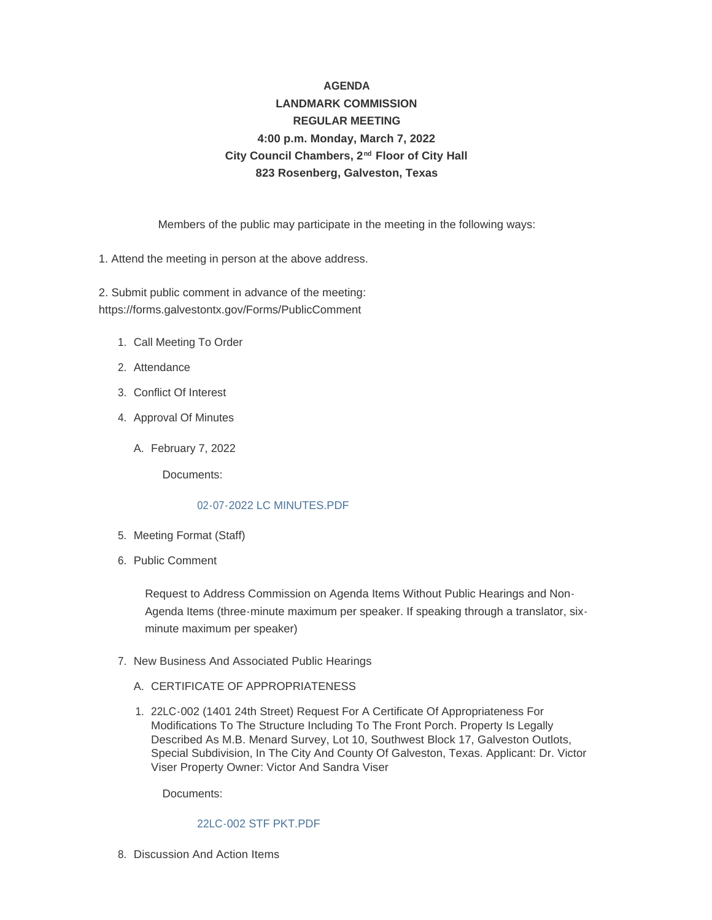# **AGENDA LANDMARK COMMISSION REGULAR MEETING 4:00 p.m. Monday, March 7, 2022** City Council Chambers, 2<sup>nd</sup> Floor of City Hall **823 Rosenberg, Galveston, Texas**

Members of the public may participate in the meeting in the following ways:

1. Attend the meeting in person at the above address.

2. Submit public comment in advance of the meeting: https://forms.galvestontx.gov/Forms/PublicComment

- 1. Call Meeting To Order
- 2. Attendance
- Conflict Of Interest 3.
- 4. Approval Of Minutes
	- February 7, 2022 A.

Documents:

### [02-07-2022 LC MINUTES.PDF](https://www.galvestontx.gov/AgendaCenter/ViewFile/Item/13802?fileID=32316)

- 5. Meeting Format (Staff)
- 6. Public Comment

Request to Address Commission on Agenda Items Without Public Hearings and Non-Agenda Items (three-minute maximum per speaker. If speaking through a translator, sixminute maximum per speaker)

- 7. New Business And Associated Public Hearings
	- A. CERTIFICATE OF APPROPRIATENESS
	- 22LC-002 (1401 24th Street) Request For A Certificate Of Appropriateness For 1. Modifications To The Structure Including To The Front Porch. Property Is Legally Described As M.B. Menard Survey, Lot 10, Southwest Block 17, Galveston Outlots, Special Subdivision, In The City And County Of Galveston, Texas. Applicant: Dr. Victor Viser Property Owner: Victor And Sandra Viser

Documents:

#### [22LC-002 STF PKT.PDF](https://www.galvestontx.gov/AgendaCenter/ViewFile/Item/13801?fileID=32315)

8. Discussion And Action Items